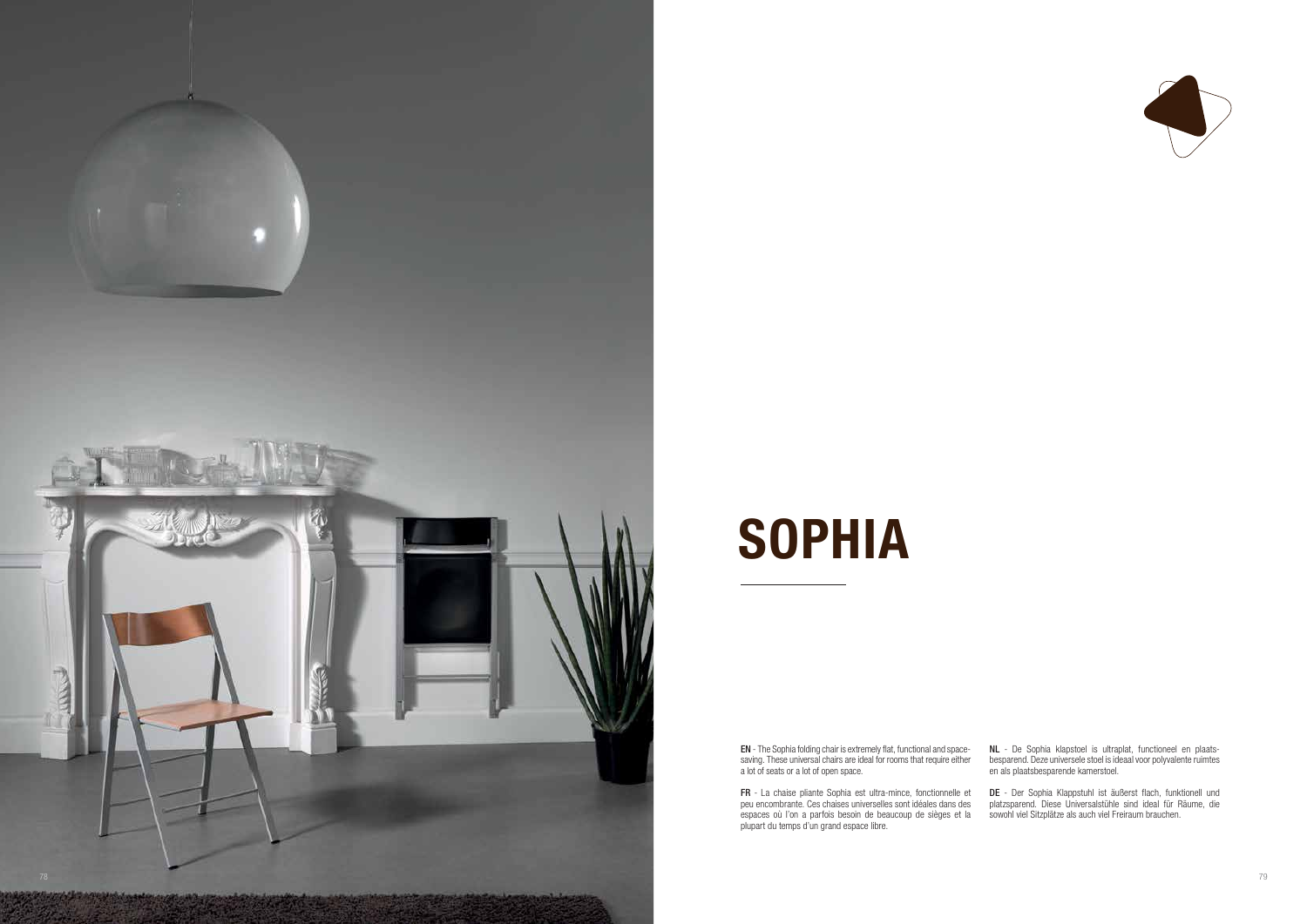EN - The Sophia folding chair is extremely flat, functional and spacesaving. These universal chairs are ideal for rooms that require either a lot of seats or a lot of open space.

NL - De Sophia klapstoel is ultraplat, functioneel en plaatsbesparend. Deze universele stoel is ideaal voor polyvalente ruimtes en als plaatsbesparende kamerstoel.

FR - La chaise pliante Sophia est ultra-mince, fonctionnelle et peu encombrante. Ces chaises universelles sont idéales dans des espaces où l'on a parfois besoin de beaucoup de sièges et la plupart du temps d'un grand espace libre.



DE - Der Sophia Klappstuhl ist äußerst flach, funktionell und platzsparend. Diese Universalstühle sind ideal für Räume, die sowohl viel Sitzplätze als auch viel Freiraum brauchen.



# **SOPHIA**